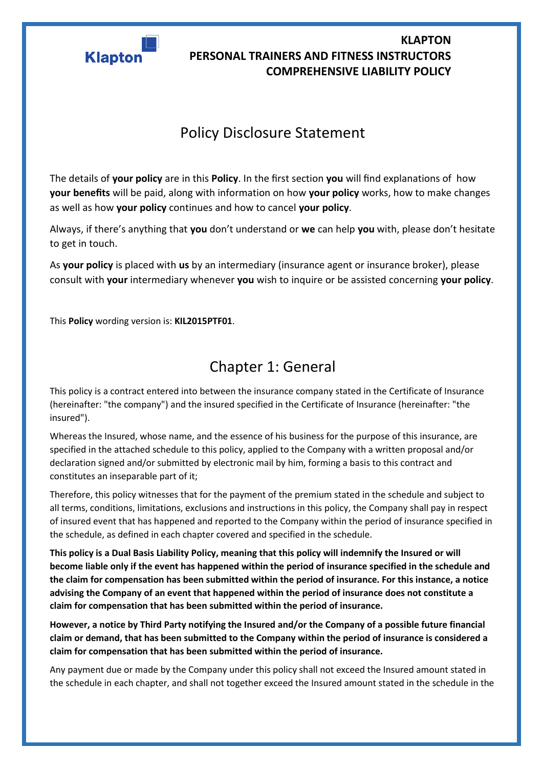

## Policy Disclosure Statement

The details of **your policy** are in this **Policy**. In the first section **you** will find explanations of how **your benefits** will be paid, along with information on how **your policy** works, how to make changes as well as how **your policy** continues and how to cancel **your policy**.

Always, if there's anything that **you** don't understand or **we** can help **you** with, please don't hesitate to get in touch.

As **your policy** is placed with **us** by an intermediary (insurance agent or insurance broker), please consult with **your** intermediary whenever **you** wish to inquire or be assisted concerning **your policy**.

This **Policy** wording version is: **KIL2015PTF01**.

## Chapter 1: General

This policy is a contract entered into between the insurance company stated in the Certificate of Insurance (hereinafter: "the company") and the insured specified in the Certificate of Insurance (hereinafter: "the insured").

Whereas the Insured, whose name, and the essence of his business for the purpose of this insurance, are specified in the attached schedule to this policy, applied to the Company with a written proposal and/or declaration signed and/or submitted by electronic mail by him, forming a basis to this contract and constitutes an inseparable part of it;

Therefore, this policy witnesses that for the payment of the premium stated in the schedule and subject to all terms, conditions, limitations, exclusions and instructions in this policy, the Company shall pay in respect of insured event that has happened and reported to the Company within the period of insurance specified in the schedule, as defined in each chapter covered and specified in the schedule.

**This policy is a Dual Basis Liability Policy, meaning that this policy will indemnify the Insured or will become liable only if the event has happened within the period of insurance specified in the schedule and the claim for compensation has been submitted within the period of insurance. For this instance, a notice advising the Company of an event that happened within the period of insurance does not constitute a claim for compensation that has been submitted within the period of insurance.** 

**However, a notice by Third Party notifying the Insured and/or the Company of a possible future financial claim or demand, that has been submitted to the Company within the period of insurance is considered a claim for compensation that has been submitted within the period of insurance.** 

Any payment due or made by the Company under this policy shall not exceed the Insured amount stated in the schedule in each chapter, and shall not together exceed the Insured amount stated in the schedule in the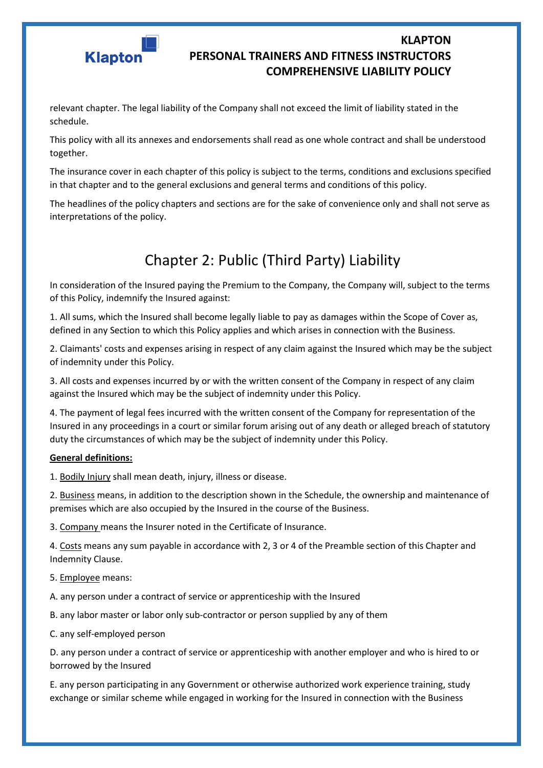

relevant chapter. The legal liability of the Company shall not exceed the limit of liability stated in the schedule.

This policy with all its annexes and endorsements shall read as one whole contract and shall be understood together.

The insurance cover in each chapter of this policy is subject to the terms, conditions and exclusions specified in that chapter and to the general exclusions and general terms and conditions of this policy.

The headlines of the policy chapters and sections are for the sake of convenience only and shall not serve as interpretations of the policy.

# Chapter 2: Public (Third Party) Liability

In consideration of the Insured paying the Premium to the Company, the Company will, subject to the terms of this Policy, indemnify the Insured against:

1. All sums, which the Insured shall become legally liable to pay as damages within the Scope of Cover as, defined in any Section to which this Policy applies and which arises in connection with the Business.

2. Claimants' costs and expenses arising in respect of any claim against the Insured which may be the subject of indemnity under this Policy.

3. All costs and expenses incurred by or with the written consent of the Company in respect of any claim against the Insured which may be the subject of indemnity under this Policy.

4. The payment of legal fees incurred with the written consent of the Company for representation of the Insured in any proceedings in a court or similar forum arising out of any death or alleged breach of statutory duty the circumstances of which may be the subject of indemnity under this Policy.

#### **General definitions:**

1. Bodily Injury shall mean death, injury, illness or disease.

2. Business means, in addition to the description shown in the Schedule, the ownership and maintenance of premises which are also occupied by the Insured in the course of the Business.

3. Company means the Insurer noted in the Certificate of Insurance.

4. Costs means any sum payable in accordance with 2, 3 or 4 of the Preamble section of this Chapter and Indemnity Clause.

5. Employee means:

A. any person under a contract of service or apprenticeship with the Insured

B. any labor master or labor only sub-contractor or person supplied by any of them

C. any self-employed person

D. any person under a contract of service or apprenticeship with another employer and who is hired to or borrowed by the Insured

E. any person participating in any Government or otherwise authorized work experience training, study exchange or similar scheme while engaged in working for the Insured in connection with the Business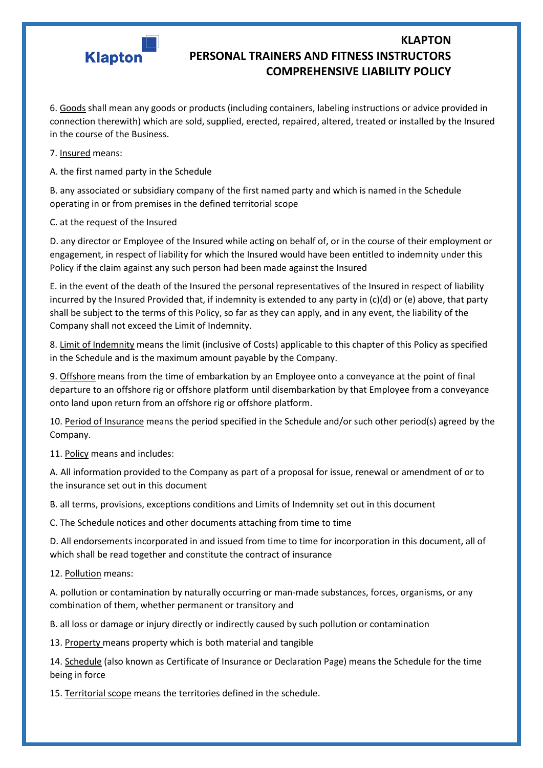

6. Goods shall mean any goods or products (including containers, labeling instructions or advice provided in connection therewith) which are sold, supplied, erected, repaired, altered, treated or installed by the Insured in the course of the Business.

7. Insured means:

A. the first named party in the Schedule

B. any associated or subsidiary company of the first named party and which is named in the Schedule operating in or from premises in the defined territorial scope

C. at the request of the Insured

D. any director or Employee of the Insured while acting on behalf of, or in the course of their employment or engagement, in respect of liability for which the Insured would have been entitled to indemnity under this Policy if the claim against any such person had been made against the Insured

E. in the event of the death of the Insured the personal representatives of the Insured in respect of liability incurred by the Insured Provided that, if indemnity is extended to any party in (c)(d) or (e) above, that party shall be subject to the terms of this Policy, so far as they can apply, and in any event, the liability of the Company shall not exceed the Limit of Indemnity.

8. Limit of Indemnity means the limit (inclusive of Costs) applicable to this chapter of this Policy as specified in the Schedule and is the maximum amount payable by the Company.

9. Offshore means from the time of embarkation by an Employee onto a conveyance at the point of final departure to an offshore rig or offshore platform until disembarkation by that Employee from a conveyance onto land upon return from an offshore rig or offshore platform.

10. Period of Insurance means the period specified in the Schedule and/or such other period(s) agreed by the Company.

11. Policy means and includes:

A. All information provided to the Company as part of a proposal for issue, renewal or amendment of or to the insurance set out in this document

B. all terms, provisions, exceptions conditions and Limits of Indemnity set out in this document

C. The Schedule notices and other documents attaching from time to time

D. All endorsements incorporated in and issued from time to time for incorporation in this document, all of which shall be read together and constitute the contract of insurance

12. Pollution means:

A. pollution or contamination by naturally occurring or man-made substances, forces, organisms, or any combination of them, whether permanent or transitory and

B. all loss or damage or injury directly or indirectly caused by such pollution or contamination

13. Property means property which is both material and tangible

14. Schedule (also known as Certificate of Insurance or Declaration Page) means the Schedule for the time being in force

15. Territorial scope means the territories defined in the schedule.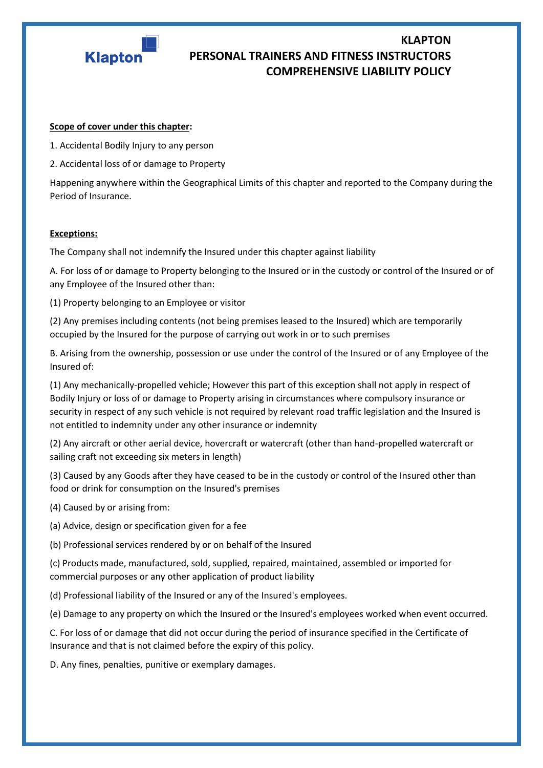

#### **Scope of cover under this chapter:**

1. Accidental Bodily Injury to any person

2. Accidental loss of or damage to Property

Happening anywhere within the Geographical Limits of this chapter and reported to the Company during the Period of Insurance.

#### **Exceptions:**

The Company shall not indemnify the Insured under this chapter against liability

A. For loss of or damage to Property belonging to the Insured or in the custody or control of the Insured or of any Employee of the Insured other than:

(1) Property belonging to an Employee or visitor

(2) Any premises including contents (not being premises leased to the Insured) which are temporarily occupied by the Insured for the purpose of carrying out work in or to such premises

B. Arising from the ownership, possession or use under the control of the Insured or of any Employee of the Insured of:

(1) Any mechanically-propelled vehicle; However this part of this exception shall not apply in respect of Bodily Injury or loss of or damage to Property arising in circumstances where compulsory insurance or security in respect of any such vehicle is not required by relevant road traffic legislation and the Insured is not entitled to indemnity under any other insurance or indemnity

(2) Any aircraft or other aerial device, hovercraft or watercraft (other than hand-propelled watercraft or sailing craft not exceeding six meters in length)

(3) Caused by any Goods after they have ceased to be in the custody or control of the Insured other than food or drink for consumption on the Insured's premises

(4) Caused by or arising from:

(a) Advice, design or specification given for a fee

(b) Professional services rendered by or on behalf of the Insured

(c) Products made, manufactured, sold, supplied, repaired, maintained, assembled or imported for commercial purposes or any other application of product liability

(d) Professional liability of the Insured or any of the Insured's employees.

(e) Damage to any property on which the Insured or the Insured's employees worked when event occurred.

C. For loss of or damage that did not occur during the period of insurance specified in the Certificate of Insurance and that is not claimed before the expiry of this policy.

D. Any fines, penalties, punitive or exemplary damages.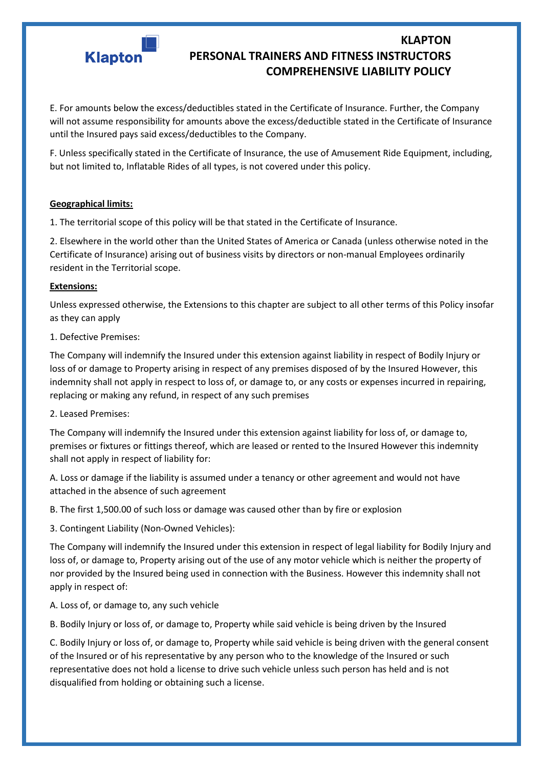

E. For amounts below the excess/deductibles stated in the Certificate of Insurance. Further, the Company will not assume responsibility for amounts above the excess/deductible stated in the Certificate of Insurance until the Insured pays said excess/deductibles to the Company.

F. Unless specifically stated in the Certificate of Insurance, the use of Amusement Ride Equipment, including, but not limited to, Inflatable Rides of all types, is not covered under this policy.

#### **Geographical limits:**

1. The territorial scope of this policy will be that stated in the Certificate of Insurance.

2. Elsewhere in the world other than the United States of America or Canada (unless otherwise noted in the Certificate of Insurance) arising out of business visits by directors or non-manual Employees ordinarily resident in the Territorial scope.

#### **Extensions:**

Unless expressed otherwise, the Extensions to this chapter are subject to all other terms of this Policy insofar as they can apply

1. Defective Premises:

The Company will indemnify the Insured under this extension against liability in respect of Bodily Injury or loss of or damage to Property arising in respect of any premises disposed of by the Insured However, this indemnity shall not apply in respect to loss of, or damage to, or any costs or expenses incurred in repairing, replacing or making any refund, in respect of any such premises

2. Leased Premises:

The Company will indemnify the Insured under this extension against liability for loss of, or damage to, premises or fixtures or fittings thereof, which are leased or rented to the Insured However this indemnity shall not apply in respect of liability for:

A. Loss or damage if the liability is assumed under a tenancy or other agreement and would not have attached in the absence of such agreement

B. The first 1,500.00 of such loss or damage was caused other than by fire or explosion

3. Contingent Liability (Non-Owned Vehicles):

The Company will indemnify the Insured under this extension in respect of legal liability for Bodily Injury and loss of, or damage to, Property arising out of the use of any motor vehicle which is neither the property of nor provided by the Insured being used in connection with the Business. However this indemnity shall not apply in respect of:

A. Loss of, or damage to, any such vehicle

B. Bodily Injury or loss of, or damage to, Property while said vehicle is being driven by the Insured

C. Bodily Injury or loss of, or damage to, Property while said vehicle is being driven with the general consent of the Insured or of his representative by any person who to the knowledge of the Insured or such representative does not hold a license to drive such vehicle unless such person has held and is not disqualified from holding or obtaining such a license.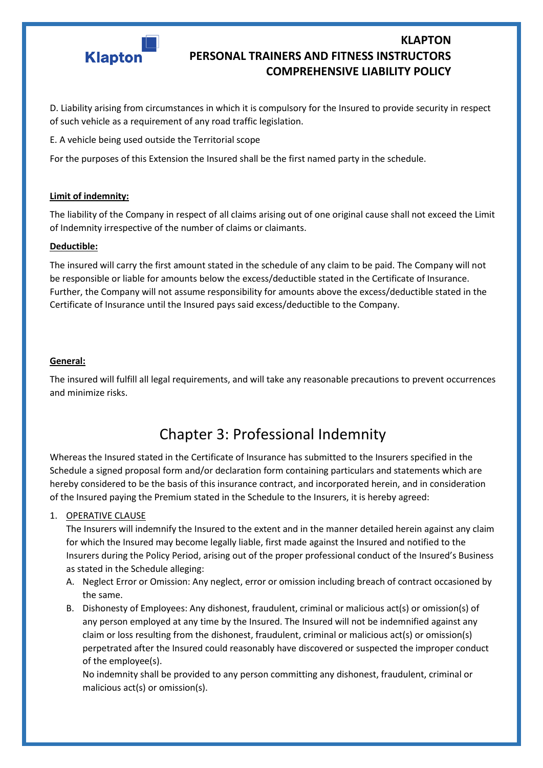

D. Liability arising from circumstances in which it is compulsory for the Insured to provide security in respect of such vehicle as a requirement of any road traffic legislation.

E. A vehicle being used outside the Territorial scope

For the purposes of this Extension the Insured shall be the first named party in the schedule.

#### **Limit of indemnity:**

The liability of the Company in respect of all claims arising out of one original cause shall not exceed the Limit of Indemnity irrespective of the number of claims or claimants.

#### **Deductible:**

The insured will carry the first amount stated in the schedule of any claim to be paid. The Company will not be responsible or liable for amounts below the excess/deductible stated in the Certificate of Insurance. Further, the Company will not assume responsibility for amounts above the excess/deductible stated in the Certificate of Insurance until the Insured pays said excess/deductible to the Company.

#### **General:**

The insured will fulfill all legal requirements, and will take any reasonable precautions to prevent occurrences and minimize risks.

## Chapter 3: Professional Indemnity

Whereas the Insured stated in the Certificate of Insurance has submitted to the Insurers specified in the Schedule a signed proposal form and/or declaration form containing particulars and statements which are hereby considered to be the basis of this insurance contract, and incorporated herein, and in consideration of the Insured paying the Premium stated in the Schedule to the Insurers, it is hereby agreed:

#### 1. OPERATIVE CLAUSE

The Insurers will indemnify the Insured to the extent and in the manner detailed herein against any claim for which the Insured may become legally liable, first made against the Insured and notified to the Insurers during the Policy Period, arising out of the proper professional conduct of the Insured's Business as stated in the Schedule alleging:

- A. Neglect Error or Omission: Any neglect, error or omission including breach of contract occasioned by the same.
- B. Dishonesty of Employees: Any dishonest, fraudulent, criminal or malicious act(s) or omission(s) of any person employed at any time by the Insured. The Insured will not be indemnified against any claim or loss resulting from the dishonest, fraudulent, criminal or malicious act(s) or omission(s) perpetrated after the Insured could reasonably have discovered or suspected the improper conduct of the employee(s).

No indemnity shall be provided to any person committing any dishonest, fraudulent, criminal or malicious act(s) or omission(s).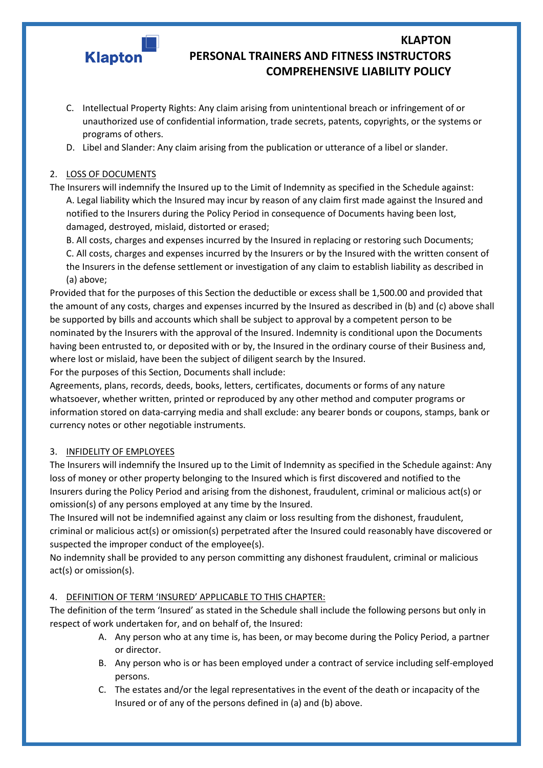

- C. Intellectual Property Rights: Any claim arising from unintentional breach or infringement of or unauthorized use of confidential information, trade secrets, patents, copyrights, or the systems or programs of others.
- D. Libel and Slander: Any claim arising from the publication or utterance of a libel or slander.

#### 2. LOSS OF DOCUMENTS

The Insurers will indemnify the Insured up to the Limit of Indemnity as specified in the Schedule against: A. Legal liability which the Insured may incur by reason of any claim first made against the Insured and notified to the Insurers during the Policy Period in consequence of Documents having been lost, damaged, destroyed, mislaid, distorted or erased;

B. All costs, charges and expenses incurred by the Insured in replacing or restoring such Documents; C. All costs, charges and expenses incurred by the Insurers or by the Insured with the written consent of the Insurers in the defense settlement or investigation of any claim to establish liability as described in (a) above;

Provided that for the purposes of this Section the deductible or excess shall be 1,500.00 and provided that the amount of any costs, charges and expenses incurred by the Insured as described in (b) and (c) above shall be supported by bills and accounts which shall be subject to approval by a competent person to be nominated by the Insurers with the approval of the Insured. Indemnity is conditional upon the Documents having been entrusted to, or deposited with or by, the Insured in the ordinary course of their Business and, where lost or mislaid, have been the subject of diligent search by the Insured.

For the purposes of this Section, Documents shall include:

Agreements, plans, records, deeds, books, letters, certificates, documents or forms of any nature whatsoever, whether written, printed or reproduced by any other method and computer programs or information stored on data-carrying media and shall exclude: any bearer bonds or coupons, stamps, bank or currency notes or other negotiable instruments.

#### 3. INFIDELITY OF EMPLOYEES

The Insurers will indemnify the Insured up to the Limit of Indemnity as specified in the Schedule against: Any loss of money or other property belonging to the Insured which is first discovered and notified to the Insurers during the Policy Period and arising from the dishonest, fraudulent, criminal or malicious act(s) or omission(s) of any persons employed at any time by the Insured.

The Insured will not be indemnified against any claim or loss resulting from the dishonest, fraudulent, criminal or malicious act(s) or omission(s) perpetrated after the Insured could reasonably have discovered or suspected the improper conduct of the employee(s).

No indemnity shall be provided to any person committing any dishonest fraudulent, criminal or malicious act(s) or omission(s).

#### 4. DEFINITION OF TERM 'INSURED' APPLICABLE TO THIS CHAPTER:

The definition of the term 'Insured' as stated in the Schedule shall include the following persons but only in respect of work undertaken for, and on behalf of, the Insured:

- A. Any person who at any time is, has been, or may become during the Policy Period, a partner or director.
- B. Any person who is or has been employed under a contract of service including self-employed persons.
- C. The estates and/or the legal representatives in the event of the death or incapacity of the Insured or of any of the persons defined in (a) and (b) above.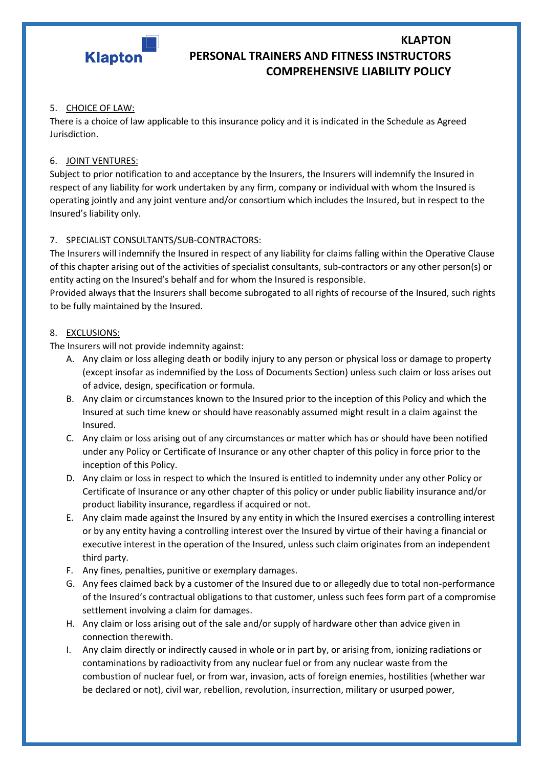

#### 5. CHOICE OF LAW:

There is a choice of law applicable to this insurance policy and it is indicated in the Schedule as Agreed Jurisdiction.

#### 6. JOINT VENTURES:

Subject to prior notification to and acceptance by the Insurers, the Insurers will indemnify the Insured in respect of any liability for work undertaken by any firm, company or individual with whom the Insured is operating jointly and any joint venture and/or consortium which includes the Insured, but in respect to the Insured's liability only.

#### 7. SPECIALIST CONSULTANTS/SUB-CONTRACTORS:

The Insurers will indemnify the Insured in respect of any liability for claims falling within the Operative Clause of this chapter arising out of the activities of specialist consultants, sub-contractors or any other person(s) or entity acting on the Insured's behalf and for whom the Insured is responsible.

Provided always that the Insurers shall become subrogated to all rights of recourse of the Insured, such rights to be fully maintained by the Insured.

#### 8. EXCLUSIONS:

The Insurers will not provide indemnity against:

- A. Any claim or loss alleging death or bodily injury to any person or physical loss or damage to property (except insofar as indemnified by the Loss of Documents Section) unless such claim or loss arises out of advice, design, specification or formula.
- B. Any claim or circumstances known to the Insured prior to the inception of this Policy and which the Insured at such time knew or should have reasonably assumed might result in a claim against the Insured.
- C. Any claim or loss arising out of any circumstances or matter which has or should have been notified under any Policy or Certificate of Insurance or any other chapter of this policy in force prior to the inception of this Policy.
- D. Any claim or loss in respect to which the Insured is entitled to indemnity under any other Policy or Certificate of Insurance or any other chapter of this policy or under public liability insurance and/or product liability insurance, regardless if acquired or not.
- E. Any claim made against the Insured by any entity in which the Insured exercises a controlling interest or by any entity having a controlling interest over the Insured by virtue of their having a financial or executive interest in the operation of the Insured, unless such claim originates from an independent third party.
- F. Any fines, penalties, punitive or exemplary damages.
- G. Any fees claimed back by a customer of the Insured due to or allegedly due to total non-performance of the Insured's contractual obligations to that customer, unless such fees form part of a compromise settlement involving a claim for damages.
- H. Any claim or loss arising out of the sale and/or supply of hardware other than advice given in connection therewith.
- I. Any claim directly or indirectly caused in whole or in part by, or arising from, ionizing radiations or contaminations by radioactivity from any nuclear fuel or from any nuclear waste from the combustion of nuclear fuel, or from war, invasion, acts of foreign enemies, hostilities (whether war be declared or not), civil war, rebellion, revolution, insurrection, military or usurped power,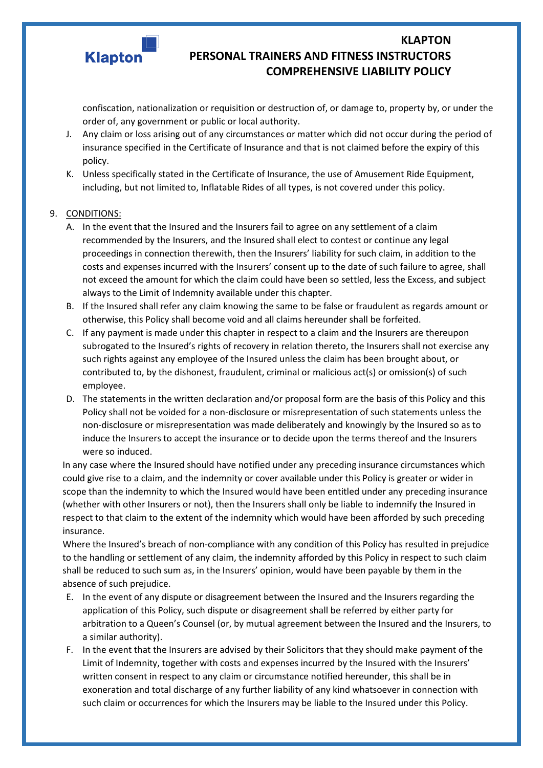

confiscation, nationalization or requisition or destruction of, or damage to, property by, or under the order of, any government or public or local authority.

- J. Any claim or loss arising out of any circumstances or matter which did not occur during the period of insurance specified in the Certificate of Insurance and that is not claimed before the expiry of this policy.
- K. Unless specifically stated in the Certificate of Insurance, the use of Amusement Ride Equipment, including, but not limited to, Inflatable Rides of all types, is not covered under this policy.

#### 9. CONDITIONS:

- A. In the event that the Insured and the Insurers fail to agree on any settlement of a claim recommended by the Insurers, and the Insured shall elect to contest or continue any legal proceedings in connection therewith, then the Insurers' liability for such claim, in addition to the costs and expenses incurred with the Insurers' consent up to the date of such failure to agree, shall not exceed the amount for which the claim could have been so settled, less the Excess, and subject always to the Limit of Indemnity available under this chapter.
- B. If the Insured shall refer any claim knowing the same to be false or fraudulent as regards amount or otherwise, this Policy shall become void and all claims hereunder shall be forfeited.
- C. If any payment is made under this chapter in respect to a claim and the Insurers are thereupon subrogated to the Insured's rights of recovery in relation thereto, the Insurers shall not exercise any such rights against any employee of the Insured unless the claim has been brought about, or contributed to, by the dishonest, fraudulent, criminal or malicious act(s) or omission(s) of such employee.
- D. The statements in the written declaration and/or proposal form are the basis of this Policy and this Policy shall not be voided for a non-disclosure or misrepresentation of such statements unless the non-disclosure or misrepresentation was made deliberately and knowingly by the Insured so as to induce the Insurers to accept the insurance or to decide upon the terms thereof and the Insurers were so induced.

In any case where the Insured should have notified under any preceding insurance circumstances which could give rise to a claim, and the indemnity or cover available under this Policy is greater or wider in scope than the indemnity to which the Insured would have been entitled under any preceding insurance (whether with other Insurers or not), then the Insurers shall only be liable to indemnify the Insured in respect to that claim to the extent of the indemnity which would have been afforded by such preceding insurance.

Where the Insured's breach of non-compliance with any condition of this Policy has resulted in prejudice to the handling or settlement of any claim, the indemnity afforded by this Policy in respect to such claim shall be reduced to such sum as, in the Insurers' opinion, would have been payable by them in the absence of such prejudice.

- E. In the event of any dispute or disagreement between the Insured and the Insurers regarding the application of this Policy, such dispute or disagreement shall be referred by either party for arbitration to a Queen's Counsel (or, by mutual agreement between the Insured and the Insurers, to a similar authority).
- F. In the event that the Insurers are advised by their Solicitors that they should make payment of the Limit of Indemnity, together with costs and expenses incurred by the Insured with the Insurers' written consent in respect to any claim or circumstance notified hereunder, this shall be in exoneration and total discharge of any further liability of any kind whatsoever in connection with such claim or occurrences for which the Insurers may be liable to the Insured under this Policy.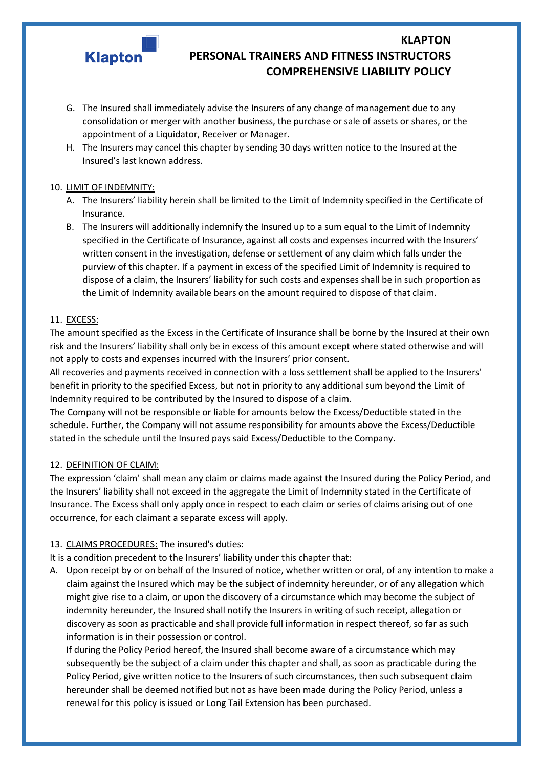

- G. The Insured shall immediately advise the Insurers of any change of management due to any consolidation or merger with another business, the purchase or sale of assets or shares, or the appointment of a Liquidator, Receiver or Manager.
- H. The Insurers may cancel this chapter by sending 30 days written notice to the Insured at the Insured's last known address.

#### 10. LIMIT OF INDEMNITY:

- A. The Insurers' liability herein shall be limited to the Limit of Indemnity specified in the Certificate of Insurance.
- B. The Insurers will additionally indemnify the Insured up to a sum equal to the Limit of Indemnity specified in the Certificate of Insurance, against all costs and expenses incurred with the Insurers' written consent in the investigation, defense or settlement of any claim which falls under the purview of this chapter. If a payment in excess of the specified Limit of Indemnity is required to dispose of a claim, the Insurers' liability for such costs and expenses shall be in such proportion as the Limit of Indemnity available bears on the amount required to dispose of that claim.

#### 11. EXCESS:

The amount specified as the Excess in the Certificate of Insurance shall be borne by the Insured at their own risk and the Insurers' liability shall only be in excess of this amount except where stated otherwise and will not apply to costs and expenses incurred with the Insurers' prior consent.

All recoveries and payments received in connection with a loss settlement shall be applied to the Insurers' benefit in priority to the specified Excess, but not in priority to any additional sum beyond the Limit of Indemnity required to be contributed by the Insured to dispose of a claim.

The Company will not be responsible or liable for amounts below the Excess/Deductible stated in the schedule. Further, the Company will not assume responsibility for amounts above the Excess/Deductible stated in the schedule until the Insured pays said Excess/Deductible to the Company.

#### 12. DEFINITION OF CLAIM:

The expression 'claim' shall mean any claim or claims made against the Insured during the Policy Period, and the Insurers' liability shall not exceed in the aggregate the Limit of Indemnity stated in the Certificate of Insurance. The Excess shall only apply once in respect to each claim or series of claims arising out of one occurrence, for each claimant a separate excess will apply.

#### 13. CLAIMS PROCEDURES: The insured's duties:

It is a condition precedent to the Insurers' liability under this chapter that:

A. Upon receipt by or on behalf of the Insured of notice, whether written or oral, of any intention to make a claim against the Insured which may be the subject of indemnity hereunder, or of any allegation which might give rise to a claim, or upon the discovery of a circumstance which may become the subject of indemnity hereunder, the Insured shall notify the Insurers in writing of such receipt, allegation or discovery as soon as practicable and shall provide full information in respect thereof, so far as such information is in their possession or control.

If during the Policy Period hereof, the Insured shall become aware of a circumstance which may subsequently be the subject of a claim under this chapter and shall, as soon as practicable during the Policy Period, give written notice to the Insurers of such circumstances, then such subsequent claim hereunder shall be deemed notified but not as have been made during the Policy Period, unless a renewal for this policy is issued or Long Tail Extension has been purchased.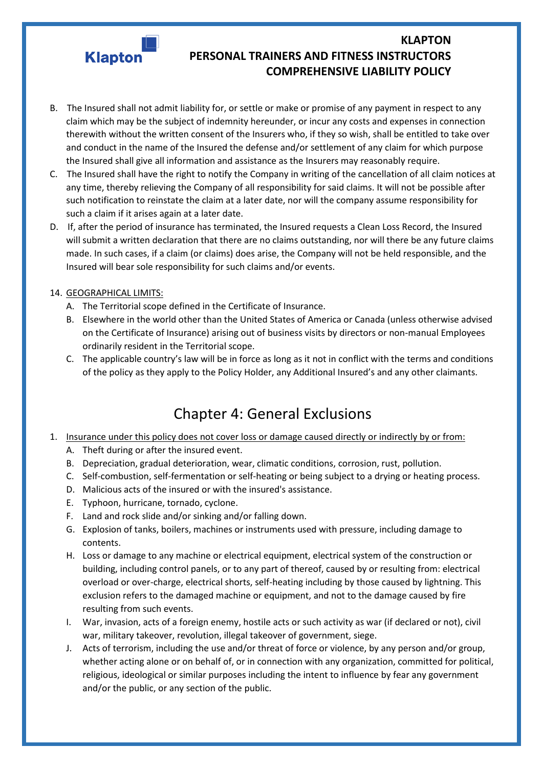

- B. The Insured shall not admit liability for, or settle or make or promise of any payment in respect to any claim which may be the subject of indemnity hereunder, or incur any costs and expenses in connection therewith without the written consent of the Insurers who, if they so wish, shall be entitled to take over and conduct in the name of the Insured the defense and/or settlement of any claim for which purpose the Insured shall give all information and assistance as the Insurers may reasonably require.
- C. The Insured shall have the right to notify the Company in writing of the cancellation of all claim notices at any time, thereby relieving the Company of all responsibility for said claims. It will not be possible after such notification to reinstate the claim at a later date, nor will the company assume responsibility for such a claim if it arises again at a later date.
- D. If, after the period of insurance has terminated, the Insured requests a Clean Loss Record, the Insured will submit a written declaration that there are no claims outstanding, nor will there be any future claims made. In such cases, if a claim (or claims) does arise, the Company will not be held responsible, and the Insured will bear sole responsibility for such claims and/or events.

#### 14. GEOGRAPHICAL LIMITS:

- A. The Territorial scope defined in the Certificate of Insurance.
- B. Elsewhere in the world other than the United States of America or Canada (unless otherwise advised on the Certificate of Insurance) arising out of business visits by directors or non-manual Employees ordinarily resident in the Territorial scope.
- C. The applicable country's law will be in force as long as it not in conflict with the terms and conditions of the policy as they apply to the Policy Holder, any Additional Insured's and any other claimants.

## Chapter 4: General Exclusions

- 1. Insurance under this policy does not cover loss or damage caused directly or indirectly by or from:
	- A. Theft during or after the insured event.
	- B. Depreciation, gradual deterioration, wear, climatic conditions, corrosion, rust, pollution.
	- C. Self-combustion, self-fermentation or self-heating or being subject to a drying or heating process.
	- D. Malicious acts of the insured or with the insured's assistance.
	- E. Typhoon, hurricane, tornado, cyclone.
	- F. Land and rock slide and/or sinking and/or falling down.
	- G. Explosion of tanks, boilers, machines or instruments used with pressure, including damage to contents.
	- H. Loss or damage to any machine or electrical equipment, electrical system of the construction or building, including control panels, or to any part of thereof, caused by or resulting from: electrical overload or over-charge, electrical shorts, self-heating including by those caused by lightning. This exclusion refers to the damaged machine or equipment, and not to the damage caused by fire resulting from such events.
	- I. War, invasion, acts of a foreign enemy, hostile acts or such activity as war (if declared or not), civil war, military takeover, revolution, illegal takeover of government, siege.
	- J. Acts of terrorism, including the use and/or threat of force or violence, by any person and/or group, whether acting alone or on behalf of, or in connection with any organization, committed for political, religious, ideological or similar purposes including the intent to influence by fear any government and/or the public, or any section of the public.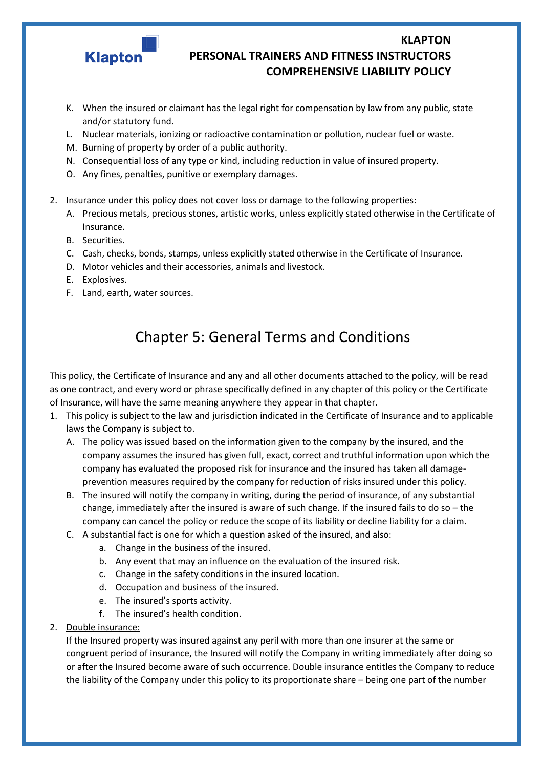

- K. When the insured or claimant has the legal right for compensation by law from any public, state and/or statutory fund.
- L. Nuclear materials, ionizing or radioactive contamination or pollution, nuclear fuel or waste.
- M. Burning of property by order of a public authority.
- N. Consequential loss of any type or kind, including reduction in value of insured property.
- O. Any fines, penalties, punitive or exemplary damages.
- 2. Insurance under this policy does not cover loss or damage to the following properties:
	- A. Precious metals, precious stones, artistic works, unless explicitly stated otherwise in the Certificate of Insurance.
	- B. Securities.
	- C. Cash, checks, bonds, stamps, unless explicitly stated otherwise in the Certificate of Insurance.
	- D. Motor vehicles and their accessories, animals and livestock.
	- E. Explosives.
	- F. Land, earth, water sources.

# Chapter 5: General Terms and Conditions

This policy, the Certificate of Insurance and any and all other documents attached to the policy, will be read as one contract, and every word or phrase specifically defined in any chapter of this policy or the Certificate of Insurance, will have the same meaning anywhere they appear in that chapter.

- 1. This policy is subject to the law and jurisdiction indicated in the Certificate of Insurance and to applicable laws the Company is subject to.
	- A. The policy was issued based on the information given to the company by the insured, and the company assumes the insured has given full, exact, correct and truthful information upon which the company has evaluated the proposed risk for insurance and the insured has taken all damageprevention measures required by the company for reduction of risks insured under this policy.
	- B. The insured will notify the company in writing, during the period of insurance, of any substantial change, immediately after the insured is aware of such change. If the insured fails to do so – the company can cancel the policy or reduce the scope of its liability or decline liability for a claim.
	- C. A substantial fact is one for which a question asked of the insured, and also:
		- a. Change in the business of the insured.
		- b. Any event that may an influence on the evaluation of the insured risk.
		- c. Change in the safety conditions in the insured location.
		- d. Occupation and business of the insured.
		- e. The insured's sports activity.
		- f. The insured's health condition.
- 2. Double insurance:

If the Insured property was insured against any peril with more than one insurer at the same or congruent period of insurance, the Insured will notify the Company in writing immediately after doing so or after the Insured become aware of such occurrence. Double insurance entitles the Company to reduce the liability of the Company under this policy to its proportionate share – being one part of the number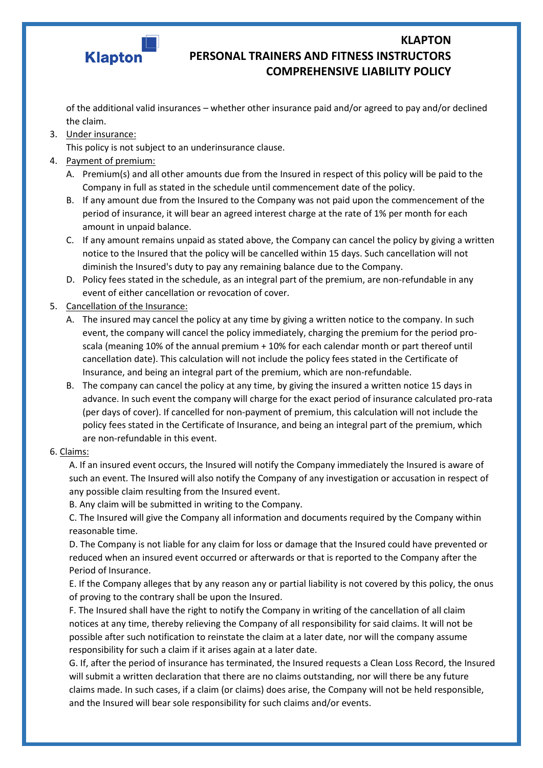

of the additional valid insurances – whether other insurance paid and/or agreed to pay and/or declined the claim.

3. Under insurance:

This policy is not subject to an underinsurance clause.

- 4. Payment of premium:
	- A. Premium(s) and all other amounts due from the Insured in respect of this policy will be paid to the Company in full as stated in the schedule until commencement date of the policy.
	- B. If any amount due from the Insured to the Company was not paid upon the commencement of the period of insurance, it will bear an agreed interest charge at the rate of 1% per month for each amount in unpaid balance.
	- C. If any amount remains unpaid as stated above, the Company can cancel the policy by giving a written notice to the Insured that the policy will be cancelled within 15 days. Such cancellation will not diminish the Insured's duty to pay any remaining balance due to the Company.
	- D. Policy fees stated in the schedule, as an integral part of the premium, are non-refundable in any event of either cancellation or revocation of cover.
- 5. Cancellation of the Insurance:
	- A. The insured may cancel the policy at any time by giving a written notice to the company. In such event, the company will cancel the policy immediately, charging the premium for the period proscala (meaning 10% of the annual premium + 10% for each calendar month or part thereof until cancellation date). This calculation will not include the policy fees stated in the Certificate of Insurance, and being an integral part of the premium, which are non-refundable.
	- B. The company can cancel the policy at any time, by giving the insured a written notice 15 days in advance. In such event the company will charge for the exact period of insurance calculated pro-rata (per days of cover). If cancelled for non-payment of premium, this calculation will not include the policy fees stated in the Certificate of Insurance, and being an integral part of the premium, which are non-refundable in this event.

#### 6. Claims:

A. If an insured event occurs, the Insured will notify the Company immediately the Insured is aware of such an event. The Insured will also notify the Company of any investigation or accusation in respect of any possible claim resulting from the Insured event.

B. Any claim will be submitted in writing to the Company.

C. The Insured will give the Company all information and documents required by the Company within reasonable time.

D. The Company is not liable for any claim for loss or damage that the Insured could have prevented or reduced when an insured event occurred or afterwards or that is reported to the Company after the Period of Insurance.

E. If the Company alleges that by any reason any or partial liability is not covered by this policy, the onus of proving to the contrary shall be upon the Insured.

F. The Insured shall have the right to notify the Company in writing of the cancellation of all claim notices at any time, thereby relieving the Company of all responsibility for said claims. It will not be possible after such notification to reinstate the claim at a later date, nor will the company assume responsibility for such a claim if it arises again at a later date.

G. If, after the period of insurance has terminated, the Insured requests a Clean Loss Record, the Insured will submit a written declaration that there are no claims outstanding, nor will there be any future claims made. In such cases, if a claim (or claims) does arise, the Company will not be held responsible, and the Insured will bear sole responsibility for such claims and/or events.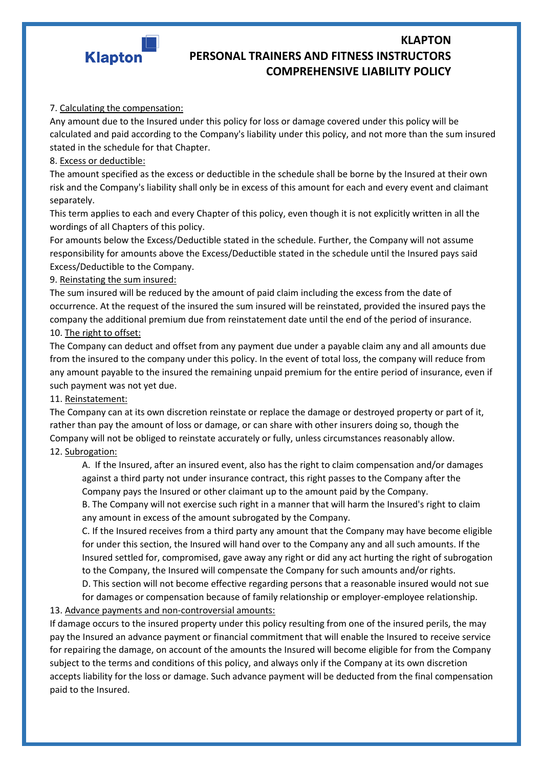

#### 7. Calculating the compensation:

Any amount due to the Insured under this policy for loss or damage covered under this policy will be calculated and paid according to the Company's liability under this policy, and not more than the sum insured stated in the schedule for that Chapter.

#### 8. Excess or deductible:

The amount specified as the excess or deductible in the schedule shall be borne by the Insured at their own risk and the Company's liability shall only be in excess of this amount for each and every event and claimant separately.

This term applies to each and every Chapter of this policy, even though it is not explicitly written in all the wordings of all Chapters of this policy.

For amounts below the Excess/Deductible stated in the schedule. Further, the Company will not assume responsibility for amounts above the Excess/Deductible stated in the schedule until the Insured pays said Excess/Deductible to the Company.

#### 9. Reinstating the sum insured:

The sum insured will be reduced by the amount of paid claim including the excess from the date of occurrence. At the request of the insured the sum insured will be reinstated, provided the insured pays the company the additional premium due from reinstatement date until the end of the period of insurance. 10. The right to offset:

The Company can deduct and offset from any payment due under a payable claim any and all amounts due from the insured to the company under this policy. In the event of total loss, the company will reduce from any amount payable to the insured the remaining unpaid premium for the entire period of insurance, even if such payment was not yet due.

#### 11. Reinstatement:

The Company can at its own discretion reinstate or replace the damage or destroyed property or part of it, rather than pay the amount of loss or damage, or can share with other insurers doing so, though the Company will not be obliged to reinstate accurately or fully, unless circumstances reasonably allow.

#### 12. Subrogation:

A. If the Insured, after an insured event, also has the right to claim compensation and/or damages against a third party not under insurance contract, this right passes to the Company after the Company pays the Insured or other claimant up to the amount paid by the Company.

B. The Company will not exercise such right in a manner that will harm the Insured's right to claim any amount in excess of the amount subrogated by the Company.

C. If the Insured receives from a third party any amount that the Company may have become eligible for under this section, the Insured will hand over to the Company any and all such amounts. If the Insured settled for, compromised, gave away any right or did any act hurting the right of subrogation to the Company, the Insured will compensate the Company for such amounts and/or rights.

D. This section will not become effective regarding persons that a reasonable insured would not sue

for damages or compensation because of family relationship or employer-employee relationship. 13. Advance payments and non-controversial amounts:

If damage occurs to the insured property under this policy resulting from one of the insured perils, the may pay the Insured an advance payment or financial commitment that will enable the Insured to receive service for repairing the damage, on account of the amounts the Insured will become eligible for from the Company subject to the terms and conditions of this policy, and always only if the Company at its own discretion accepts liability for the loss or damage. Such advance payment will be deducted from the final compensation paid to the Insured.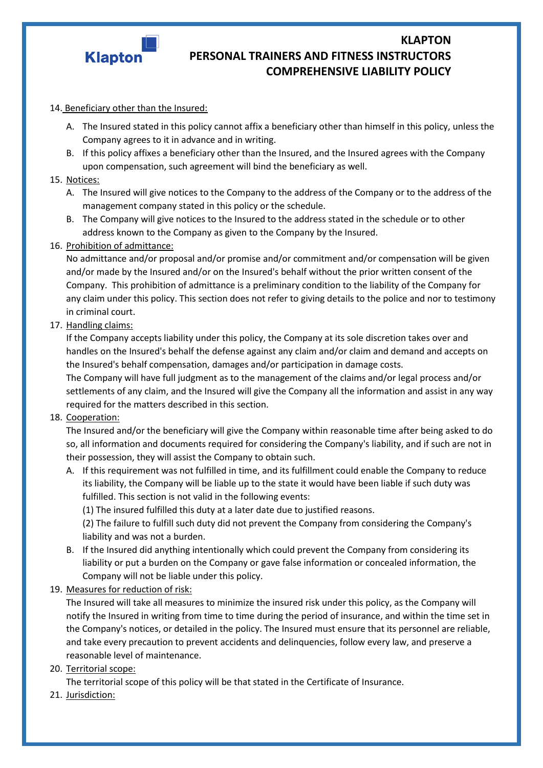

#### 14. Beneficiary other than the Insured:

- A. The Insured stated in this policy cannot affix a beneficiary other than himself in this policy, unless the Company agrees to it in advance and in writing.
- B. If this policy affixes a beneficiary other than the Insured, and the Insured agrees with the Company upon compensation, such agreement will bind the beneficiary as well.

#### 15. Notices:

- A. The Insured will give notices to the Company to the address of the Company or to the address of the management company stated in this policy or the schedule.
- B. The Company will give notices to the Insured to the address stated in the schedule or to other address known to the Company as given to the Company by the Insured.

#### 16. Prohibition of admittance:

No admittance and/or proposal and/or promise and/or commitment and/or compensation will be given and/or made by the Insured and/or on the Insured's behalf without the prior written consent of the Company. This prohibition of admittance is a preliminary condition to the liability of the Company for any claim under this policy. This section does not refer to giving details to the police and nor to testimony in criminal court.

#### 17. Handling claims:

If the Company accepts liability under this policy, the Company at its sole discretion takes over and handles on the Insured's behalf the defense against any claim and/or claim and demand and accepts on the Insured's behalf compensation, damages and/or participation in damage costs.

The Company will have full judgment as to the management of the claims and/or legal process and/or settlements of any claim, and the Insured will give the Company all the information and assist in any way required for the matters described in this section.

#### 18. Cooperation:

The Insured and/or the beneficiary will give the Company within reasonable time after being asked to do so, all information and documents required for considering the Company's liability, and if such are not in their possession, they will assist the Company to obtain such.

A. If this requirement was not fulfilled in time, and its fulfillment could enable the Company to reduce its liability, the Company will be liable up to the state it would have been liable if such duty was fulfilled. This section is not valid in the following events:

(1) The insured fulfilled this duty at a later date due to justified reasons.

(2) The failure to fulfill such duty did not prevent the Company from considering the Company's liability and was not a burden.

B. If the Insured did anything intentionally which could prevent the Company from considering its liability or put a burden on the Company or gave false information or concealed information, the Company will not be liable under this policy.

#### 19. Measures for reduction of risk:

The Insured will take all measures to minimize the insured risk under this policy, as the Company will notify the Insured in writing from time to time during the period of insurance, and within the time set in the Company's notices, or detailed in the policy. The Insured must ensure that its personnel are reliable, and take every precaution to prevent accidents and delinquencies, follow every law, and preserve a reasonable level of maintenance.

#### 20. Territorial scope:

The territorial scope of this policy will be that stated in the Certificate of Insurance.

21. Jurisdiction: